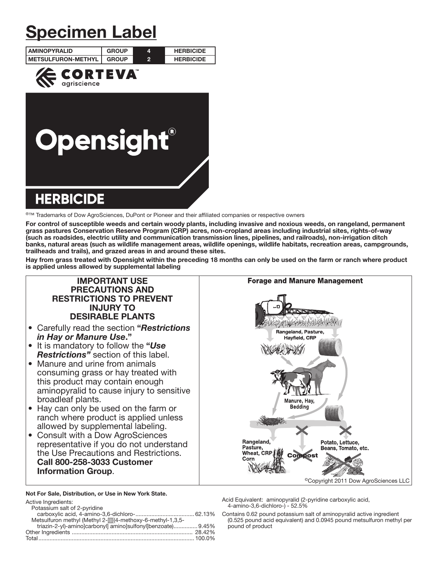# Specimen Label

| <b>LAMINOPYRALID</b>       | <b>GROUP</b> | 4 | <b>HERBICIDE</b> |  |  |
|----------------------------|--------------|---|------------------|--|--|
| <b>IMETSULFURON-METHYL</b> | <b>GROUP</b> | 2 | <b>HERBICIDE</b> |  |  |
| NDTEV                      |              |   |                  |  |  |



®™ Trademarks of Dow AgroSciences, DuPont or Pioneer and their affiliated companies or respective owners

For control of susceptible weeds and certain woody plants, including invasive and noxious weeds, on rangeland, permanent grass pastures Conservation Reserve Program (CRP) acres, non-cropland areas including industrial sites, rights-of-way (such as roadsides, electric utility and communication transmission lines, pipelines, and railroads), non-irrigation ditch banks, natural areas (such as wildlife management areas, wildlife openings, wildlife habitats, recreation areas, campgrounds, trailheads and trails), and grazed areas in and around these sites.

Hay from grass treated with Opensight within the preceding 18 months can only be used on the farm or ranch where product is applied unless allowed by supplemental labeling

# IMPORTANT USE PRECAUTIONS AND RESTRICTIONS TO PREVENT INJURY TO DESIRABLE PLANTS

- Carefully read the section "*Restrictions in Hay or Manure Use*."
- It is mandatory to follow the "*Use Restrictions"* section of this label.
- Manure and urine from animals consuming grass or hay treated with this product may contain enough aminopyralid to cause injury to sensitive broadleaf plants.
- Hay can only be used on the farm or ranch where product is applied unless allowed by supplemental labeling.
- Consult with a Dow AgroSciences representative if you do not understand the Use Precautions and Restrictions. Call 800-258-3033 Customer Information Group.

Ī Not For Sale, Distribution, or Use in New York State.

| Active Ingredients:                                          |  |
|--------------------------------------------------------------|--|
| Potassium salt of 2-pyridine                                 |  |
|                                                              |  |
| Metsulfuron methyl (Methyl 2-[[[[(4-methoxy-6-methyl-1,3,5-  |  |
| triazin-2-yl)-aminolcarbonyll aminolsulfonyllbenzoate) 9.45% |  |
|                                                              |  |
| Total……………………………………………………………………………………… 100.0%                |  |
|                                                              |  |



Acid Equivalent: aminopyralid (2-pyridine carboxylic acid, 4-amino-3,6-dichloro-) - 52.5%

Contains 0.62 pound potassium salt of aminopyralid active ingredient (0.525 pound acid equivalent) and 0.0945 pound metsulfuron methyl per pound of product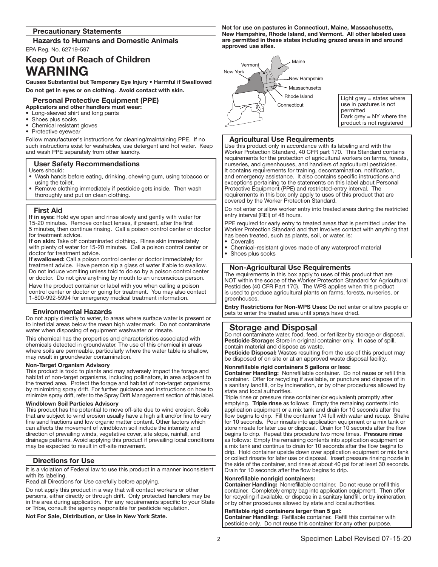# Precautionary Statements

Hazards to Humans and Domestic Animals EPA Reg. No. 62719-597

# Keep Out of Reach of Children WARNING

Causes Substantial but Temporary Eye Injury • Harmful if Swallowed Do not get in eyes or on clothing. Avoid contact with skin.

#### Personal Protective Equipment (PPE) Applicators and other handlers must wear:

Long-sleeved shirt and long pants

- Shoes plus socks
- Chemical resistant gloves
- Protective eyewear

Follow manufacturer's instructions for cleaning/maintaining PPE. If no such instructions exist for washables, use detergent and hot water. Keep and wash PPE separately from other laundry.

# User Safety Recommendations

- Users should:
- Wash hands before eating, drinking, chewing gum, using tobacco or using the toilet.
- Remove clothing immediately if pesticide gets inside. Then wash thoroughly and put on clean clothing.

# First Aid

Ļ

If in eyes: Hold eye open and rinse slowly and gently with water for 15-20 minutes. Remove contact lenses, if present, after the first 5 minutes, then continue rinsing. Call a poison control center or doctor for treatment advice.

If on skin: Take off contaminated clothing. Rinse skin immediately with plenty of water for 15-20 minutes. Call a poison control center or doctor for treatment advice.

If swallowed: Call a poison control center or doctor immediately for treatment advice. Have person sip a glass of water if able to swallow. Do not induce vomiting unless told to do so by a poison control center or doctor. Do not give anything by mouth to an unconscious person.

Have the product container or label with you when calling a poison control center or doctor or going for treatment. You may also contact 1-800-992-5994 for emergency medical treatment information.

# Environmental Hazards

Do not apply directly to water, to areas where surface water is present or to intertidal areas below the mean high water mark. Do not contaminate water when disposing of equipment washwater or rinsate.

This chemical has the properties and characteristics associated with chemicals detected in groundwater. The use of this chemical in areas where soils are permeable, particularly where the water table is shallow, may result in groundwater contamination.

# Non-Target Organism Advisory

This product is toxic to plants and may adversely impact the forage and habitat of non-target organisms, including pollinators, in area adjacent to the treated area. Protect the forage and habitat of non-target organisms by minimizing spray drift. For further guidance and instructions on how to minimize spray drift, refer to the Spray Drift Management section of this label.

# Windblown Soil Particles Advisory

This product has the potential to move off-site due to wind erosion. Soils that are subject to wind erosion usually have a high silt and/or fine to very fine sand fractions and low organic matter content. Other factors which can affects the movement of windblown soil include the intensity and direction of prevailing winds, vegetative cover, site slope, rainfall, and drainage patterns. Avoid applying this product if prevailing local conditions may be expected to result in off-site movement.

# Directions for Use

It is a violation of Federal law to use this product in a manner inconsistent with its labeling.

Read all Directions for Use carefully before applying.

Do not apply this product in a way that will contact workers or other persons, either directly or through drift. Only protected handlers may be in the area during application. For any requirements specific to your State or Tribe, consult the agency responsible for pesticide regulation.

# Not For Sale, Distribution, or Use in New York State.

Not for use on pastures in Connecticut, Maine, Massachusetts, New Hampshire, Rhode Island, and Vermont. All other labeled uses are permitted in these states including grazed areas in and around approved use sites.



Light grey  $=$  states where use in pastures is not permitted Dark grey = NY where the product is not registered

# Agricultural Use Requirements

Use this product only in accordance with its labeling and with the Worker Protection Standard, 40 CFR part 170. This Standard contains requirements for the protection of agricultural workers on farms, forests, nurseries, and greenhouses, and handlers of agricultural pesticides. It contains requirements for training, decontamination, notification, and emergency assistance. It also contains specific instructions and exceptions pertaining to the statements on this label about Personal Protective Equipment (PPE) and restricted-entry interval. The requirements in this box only apply to uses of this product that are covered by the Worker Protection Standard.

Do not enter or allow worker entry into treated areas during the restricted entry interval (REI) of 48 hours.

PPE required for early entry to treated areas that is permitted under the Worker Protection Standard and that involves contact with anything that has been treated, such as plants, soil, or water, is:

- **Coveralls**
- Chemical-resistant gloves made of any waterproof material
- Shoes plus socks

# Non-Agricultural Use Requirements

The requirements in this box apply to uses of this product that are NOT within the scope of the Worker Protection Standard for Agricultural Pesticides (40 CFR Part 170). The WPS applies when this product is used to produce agricultural plants on farms, forests, nurseries, or greenhouses.

Entry Restrictions for Non-WPS Uses: Do not enter or allow people or pets to enter the treated area until sprays have dried. Ļ

# Storage and Disposal

Do not contaminate water, food, feed, or fertilizer by storage or disposal. Pesticide Storage: Store in original container only. In case of spill, contain material and dispose as waste.

Pesticide Disposal: Wastes resulting from the use of this product may be disposed of on site or at an approved waste disposal facility.

# Nonrefillable rigid containers 5 gallons or less:

Container Handling: Nonrefillable container. Do not reuse or refill this container. Offer for recycling if available, or puncture and dispose of in a sanitary landfill, or by incineration, or by other procedures allowed by state and local authorities.

Triple rinse or pressure rinse container (or equivalent) promptly after emptying. Triple rinse as follows: Empty the remaining contents into application equipment or a mix tank and drain for 10 seconds after the flow begins to drip. Fill the container 1/4 full with water and recap. Shake for 10 seconds. Pour rinsate into application equipment or a mix tank or store rinsate for later use or disposal. Drain for 10 seconds after the flow begins to drip. Repeat this procedure two more times. Pressure rinse as follows: Empty the remaining contents into application equipment or a mix tank and continue to drain for 10 seconds after the flow begins to drip. Hold container upside down over application equipment or mix tank or collect rinsate for later use or disposal. Insert pressure rinsing nozzle in the side of the container, and rinse at about 40 psi for at least 30 seconds. Drain for 10 seconds after the flow begins to drip.

# Nonrefillable nonrigid containers:

Container Handling: Nonrefillable container. Do not reuse or refill this container. Completely empty bag into application equipment. Then offer for recycling if available, or dispose in a sanitary landfill, or by incineration, or by other procedures allowed by state and local authorities.

#### Refillable rigid containers larger than 5 gal:

Container Handling: Refillable container. Refill this container with pesticide only. Do not reuse this container for any other purpose.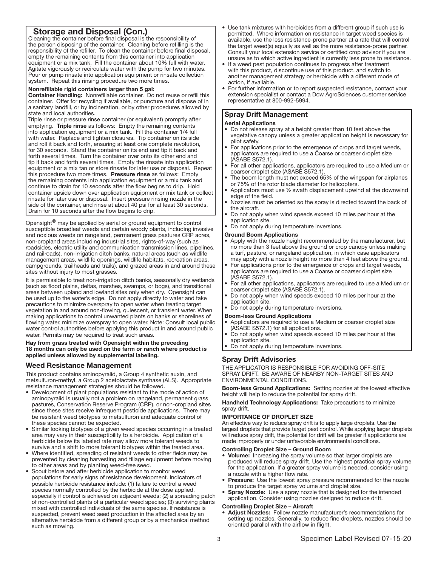# Storage and Disposal (Con.)

Cleaning the container before final disposal is the responsibility of the person disposing of the container. Cleaning before refilling is the responsibility of the refiller. To clean the container before final disposal, empty the remaining contents from this container into application equipment or a mix tank. Fill the container about 10% full with water. Agitate vigorously or recirculate water with the pump for two minutes. Pour or pump rinsate into application equipment or rinsate collection system. Repeat this rinsing procedure two more times.

# Nonrefillable rigid containers larger than 5 gal:

Container Handling: Nonrefillable container. Do not reuse or refill this container. Offer for recycling if available, or puncture and dispose of in a sanitary landfill, or by incineration, or by other procedures allowed by state and local authorities.

Triple rinse or pressure rinse container (or equivalent) promptly after emptying. Triple rinse as follows: Empty the remaining contents into application equipment or a mix tank. Fill the container 1/4 full with water. Replace and tighten closures. Tip container on its side and roll it back and forth, ensuring at least one complete revolution, for 30 seconds. Stand the container on its end and tip it back and forth several times. Turn the container over onto its other end and tip it back and forth several times. Empty the rinsate into application equipment or a mix tan or store rinsate for later use or disposal. Repeat this procedure two more times. Pressure rinse as follows: Empty the remaining contents into application equipment or a mix tank and continue to drain for 10 seconds after the flow begins to drip. Hold container upside down over application equipment or mix tank or collect rinsate for later use or disposal. Insert pressure rinsing nozzle in the side of the container, and rinse at about 40 psi for at least 30 seconds. Drain for 10 seconds after the flow begins to drip. ļ

Opensight<sup>®</sup> may be applied by aerial or ground equipment to control susceptible broadleaf weeds and certain woody plants, including invasive and noxious weeds on rangeland, permanent grass pastures CRP acres, non-cropland areas including industrial sites, rights-of-way (such as roadsides, electric utility and communication transmission lines, pipelines, and railroads), non-irrigation ditch banks, natural areas (such as wildlife management areas, wildlife openings, wildlife habitats, recreation areas, campgrounds, trailheads and trails), and grazed areas in and around these sites without injury to most grasses.

It is permissible to treat non-irrigation ditch banks, seasonally dry wetlands (such as flood plains, deltas, marshes, swamps, or bogs), and transitional areas between upland and lowland sites only when dry. Opensight can be used up to the water's edge. Do not apply directly to water and take precautions to minimize overspray to open water when treating target vegetation in and around non-flowing, quiescent, or transient water. When making applications to control unwanted plants on banks or shorelines of flowing water, minimize overspray to open water. Note: Consult local public water control authorities before applying this product in and around public water. Permits may be required to treat such areas.

Hay from grass treated with Opensight within the preceding 18 months can only be used on the farm or ranch where product is applied unless allowed by supplemental labeling.

# Weed Resistance Management

This product contains aminopyralid, a Group 4 synthetic auxin, and metsulfuron-methyl, a Group 2 acetolactate synthase (ALS). Appropriate resistance management strategies should be followed.

- Development of plant populations resistant to the mode of action of aminopyralid is usually not a problem on rangeland, permanent grass pastures, Conservation Reserve Program (CRP), or non-cropland sites since these sites receive infrequent pesticide applications. There may be resistant weed biotypes to metsulfuron and adequate control of these species cannot be expected.
- Similar looking biotypes of a given weed species occurring in a treated area may vary in their susceptibility to a herbicide. Application of a herbicide below its labeled rate may allow more tolerant weeds to survive and a shift to more tolerant biotypes within the treated area.
- Where identified, spreading of resistant weeds to other fields may be prevented by cleaning harvesting and tillage equipment before moving to other areas and by planting weed-free seed.
- Scout before and after herbicide application to monitor weed populations for early signs of resistance development. Indicators of possible herbicide resistance include: (1) failure to control a weed species normally controlled by the herbicide at the dose applied, especially if control is achieved on adjacent weeds; (2) a spreading patch of non-controlled plants of a particular weed species; (3) surviving plants mixed with controlled individuals of the same species. If resistance is suspected, prevent weed seed production in the affected area by an alternative herbicide from a different group or by a mechanical method such as mowing.
- Use tank mixtures with herbicides from a different group if such use is permitted. Where information on resistance in target weed species is available, use the less resistance-prone partner at a rate that will control the target weed(s) equally as well as the more resistance-prone partner. Consult your local extension service or certified crop advisor if you are unsure as to which active ingredient is currently less prone to resistance.
- If a weed pest population continues to progress after treatment with this product, discontinue use of this product, and switch to another management strategy or herbicide with a different mode of action, if available.
- For further information or to report suspected resistance, contact your extension specialist or contact a Dow AgroSciences customer service representative at 800-992-5994.

# Spray Drift Management

#### Aerial Applications

- Do not release spray at a height greater than 10 feet above the vegetative canopy unless a greater application height is necessary for pilot safety.
- For applications prior to the emergence of crops and target weeds, applicators are required to use a Coarse or coarser droplet size (ASABE S572.1).
- For all other applications, applicators are required to use a Medium or coarser droplet size (ASABE S572.1).
- The boom length must not exceed 65% of the wingspan for airplanes or 75% of the rotor blade diameter for helicopters.
- Applicators must use ½ swath displacement upwind at the downwind edge of the field.
- Nozzles must be oriented so the spray is directed toward the back of the aircraft.
- Do not apply when wind speeds exceed 10 miles per hour at the application site.
- Do not apply during temperature inversions.

#### Ground Boom Applications

- Apply with the nozzle height recommended by the manufacturer, but no more than 3 feet above the ground or crop canopy unless making a turf, pasture, or rangeland application, in which case applicators may apply with a nozzle height no more than 4 feet above the ground.
- For applications prior to the emergence of crops and target weeds, applicators are required to use a Coarse or coarser droplet size (ASABE S572.1).
- For all other applications, applicators are required to use a Medium or coarser droplet size (ASABE S572.1).
- Do not apply when wind speeds exceed 10 miles per hour at the application site.
- Do not apply during temperature inversions.
- Boom-less Ground Applications
- Applicators are required to use a Medium or coarser droplet size (ASABE S572.1) for all applications.
- Do not apply when wind speeds exceed 10 miles per hour at the application site.
- Do not apply during temperature inversions.

# Spray Drift Advisories

THE APPLICATOR IS RESPONSIBLE FOR AVOIDING OFF-SITE SPRAY DRIFT. BE AWARE OF NEARBY NON-TARGET SITES AND ENVIRONMENTAL CONDITIONS.

Boom-less Ground Applications: Setting nozzles at the lowest effective height will help to reduce the potential for spray drift.

Handheld Technology Applications: Take precautions to minimize spray drift.

# IMPORTANCE OF DROPLET SIZE

An effective way to reduce spray drift is to apply large droplets. Use the largest droplets that provide target pest control. While applying larger droplets will reduce spray drift, the potential for drift will be greater if applications are made improperly or under unfavorable environmental conditions.

### Controlling Droplet Size – Ground Boom

- Volume: Increasing the spray volume so that larger droplets are produced will reduce spray drift. Use the highest practical spray volume for the application. If a greater spray volume is needed, consider using a nozzle with a higher flow rate.
- Pressure: Use the lowest spray pressure recommended for the nozzle to produce the target spray volume and droplet size.
- **Spray Nozzle:** Use a spray nozzle that is designed for the intended application. Consider using nozzles designed to reduce drift.

#### Controlling Droplet Size – Aircraft

Adjust Nozzles: Follow nozzle manufacturer's recommendations for setting up nozzles. Generally, to reduce fine droplets, nozzles should be oriented parallel with the airflow in flight.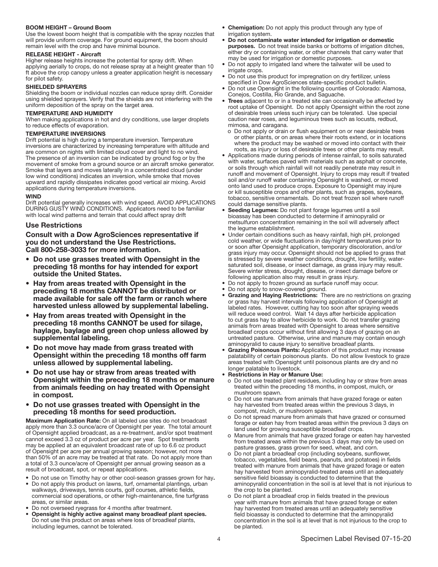# BOOM HEIGHT – Ground Boom

Use the lowest boom height that is compatible with the spray nozzles that will provide uniform coverage. For ground equipment, the boom should remain level with the crop and have minimal bounce.

#### RELEASE HEIGHT - Aircraft

Higher release heights increase the potential for spray drift. When applying aerially to crops, do not release spray at a height greater than 10 ft above the crop canopy unless a greater application height is necessary for pilot safety.

### SHIELDED SPRAYERS

Shielding the boom or individual nozzles can reduce spray drift. Consider using shielded sprayers. Verify that the shields are not interfering with the uniform deposition of the spray on the target area.

### TEMPERATURE AND HUMIDITY

When making applications in hot and dry conditions, use larger droplets to reduce effects of evaporation.

#### TEMPERATURE INVERSIONS

Drift potential is high during a temperature inversion. Temperature inversions are characterized by increasing temperature with altitude and are common on nights with limited cloud cover and light to no wind. The presence of an inversion can be indicated by ground fog or by the movement of smoke from a ground source or an aircraft smoke generator. Smoke that layers and moves laterally in a concentrated cloud (under low wind conditions) indicates an inversion, while smoke that moves upward and rapidly dissipates indicates good vertical air mixing. Avoid applications during temperature inversions.

#### **WIND**

Drift potential generally increases with wind speed. AVOID APPLICATIONS DURING GUSTY WIND CONDITIONS. Applicators need to be familiar with local wind patterns and terrain that could affect spray drift

# Use Restrictions

Consult with a Dow AgroSciences representative if you do not understand the Use Restrictions. Call 800-258-3033 for more information.

- Do not use grasses treated with Opensight in the preceding 18 months for hay intended for export outside the United States.
- Hay from areas treated with Opensight in the preceding 18 months CANNOT be distributed or made available for sale off the farm or ranch where harvested unless allowed by supplemental labeling.
- Hay from areas treated with Opensight in the preceding 18 months CANNOT be used for silage, haylage, baylage and green chop unless allowed by supplemental labeling.
- Do not move hay made from grass treated with Opensight within the preceding 18 months off farm unless allowed by supplemental labeling.
- Do not use hay or straw from areas treated with Opensight within the preceding 18 months or manure from animals feeding on hay treated with Opensight in compost.
- Do not use grasses treated with Opensight in the preceding 18 months for seed production.

Maximum Application Rate: On all labeled use sites do not broadcast apply more than 3.3 ounce/acre of Opensight per year. The total amount of Opensight applied broadcast, as a re-treatment, and/or spot treatment cannot exceed 3.3 oz of product per acre per year. Spot treatments may be applied at an equivalent broadcast rate of up to 6.6 oz product of Opensight per acre per annual growing season; however, not more than 50% of an acre may be treated at that rate. Do not apply more than a total of 3.3 ounce/acre of Opensight per annual growing season as a result of broadcast, spot, or repeat applications.

- Do not use on Timothy hay or other cool-season grasses grown for hay.
- Do not apply this product on lawns, turf, ornamental plantings, urban walkways, driveways, tennis courts, golf courses, athletic fields. commercial sod operations, or other high-maintenance, fine turfgrass areas, or similar areas.
- Do not overseed ryegrass for 4 months after treatment.
- Opensight is highly active against many broadleaf plant species. Do not use this product on areas where loss of broadleaf plants, including legumes, cannot be tolerated.
- Chemigation: Do not apply this product through any type of irrigation system.
- Do not contaminate water intended for irrigation or domestic purposes. Do not treat inside banks or bottoms of irrigation ditches, either dry or containing water, or other channels that carry water that may be used for irrigation or domestic purposes.
- Do not apply to irrigated land where the tailwater will be used to irrigate crops.
- Do not use this product for impregnation on dry fertilizer, unless specified in Dow AgroSciences state-specific product bulletin.
- Do not use Opensight in the following counties of Colorado: Alamosa, Conejos, Costilla, Rio Grande, and Saguache.
- Trees adjacent to or in a treated site can occasionally be affected by root uptake of Opensight. Do not apply Opensight within the root zone of desirable trees unless such injury can be tolerated. Use special caution near roses, and leguminous trees such as locusts, redbud, mimosa, and caragana.
	- o Do not apply or drain or flush equipment on or near desirable trees or other plants, or on areas where their roots extend, or in locations where the product may be washed or moved into contact with their roots, as injury or loss of desirable trees or other plants may result.
- Applications made during periods of intense rainfall, to soils saturated with water, surfaces paved with materials such as asphalt or concrete, or soils through which rainfall will not readily penetrate may result in runoff and movement of Opensight. Injury to crops may result if treated soil and/or runoff water containing Opensight is washed, or moved onto land used to produce crops. Exposure to Opensight may injure or kill susceptible crops and other plants, such as grapes, soybeans, tobacco, sensitive ornamentals. Do not treat frozen soil where runoff could damage sensitive plants.
- Seeding Legumes: Do not plant forage legumes until a soil bioassay has been conducted to determine if aminopyralid or metsulfuron concentration remaining in the soil will adversely affect the legume establishment.
- Under certain conditions such as heavy rainfall, high pH, prolonged cold weather, or wide fluctuations in day/night temperatures prior to or soon after Opensight application, temporary discoloration, and/or grass injury may occur. Opensight should not be applied to grass that is stressed by severe weather conditions, drought, low fertility, watersaturated soil, disease, or insect damage, as grass injury may result. Severe winter stress, drought, disease, or insect damage before or following application also may result in grass injury.
- Do not apply to frozen ground as surface runoff may occur.
- Do not apply to snow-covered ground.
- Grazing and Haying Restrictions: There are no restrictions on grazing or grass hay harvest intervals following application of Opensight at labeled rates. However, cutting hay too soon after spraying weeds will reduce weed control. Wait 14 days after herbicide application to cut grass hay to allow herbicide to work. Do not transfer grazing animals from areas treated with Opensight to areas where sensitive broadleaf crops occur without first allowing 3 days of grazing on an untreated pasture. Otherwise, urine and manure may contain enough aminopyralid to cause injury to sensitive broadleaf plants.
- Grazing Poisonous Plants: Application of this product may increase palatability of certain poisonous plants. Do not allow livestock to graze areas treated with Opensight until poisonous plants are dry and no longer palatable to livestock.
- Restrictions in Hay or Manure Use:
	- o Do not use treated plant residues, including hay or straw from areas treated within the preceding 18 months, in compost, mulch, or mushroom spawn.
	- o Do not use manure from animals that have grazed forage or eaten hay harvested from treated areas within the previous 3 days, in compost, mulch, or mushroom spawn.
	- o Do not spread manure from animals that have grazed or consumed forage or eaten hay from treated areas within the previous 3 days on land used for growing susceptible broadleaf crops.
	- o Manure from animals that have grazed forage or eaten hay harvested from treated areas within the previous 3 days may only be used on pasture grasses, grass grown for seed, wheat, and corn.
	- o Do not plant a broadleaf crop (including soybeans, sunflower, tobacco, vegetables, field beans, peanuts, and potatoes) in fields treated with manure from animals that have grazed forage or eaten hay harvested from aminopyralid-treated areas until an adequately sensitive field bioassay is conducted to determine that the aminopyralid concentration in the soil is at level that is not injurious to the crop to be planted.
	- o Do not plant a broadleaf crop in fields treated in the previous year with manure from animals that have grazed forage or eaten hay harvested from treated areas until an adequately sensitive field bioassay is conducted to determine that the aminopyralid concentration in the soil is at level that is not injurious to the crop to be planted.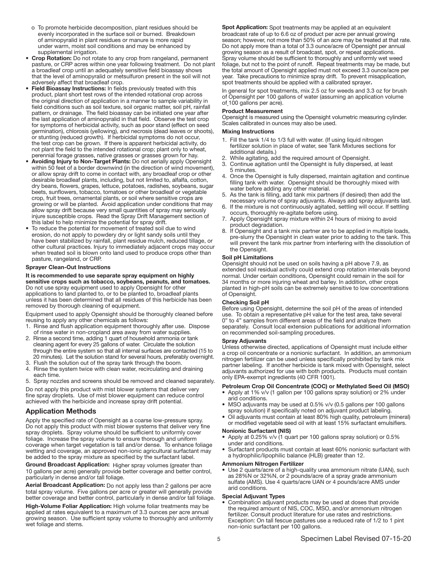- o To promote herbicide decomposition, plant residues should be evenly incorporated in the surface soil or burned. Breakdown of aminopyralid in plant residues or manure is more rapid under warm, moist soil conditions and may be enhanced by supplemental irrigation.
- Crop Rotation: Do not rotate to any crop from rangeland, permanent pasture, or CRP acres within one year following treatment. Do not plant a broadleaf crop until an adequately sensitive field bioassay shows that the level of aminopyralid or metsulfuron present in the soil will not adversely affect that broadleaf crop.
- Field Bioassay Instructions: In fields previously treated with this product, plant short test rows of the intended rotational crop across the original direction of application in a manner to sample variability in field conditions such as soil texture, soil organic matter, soil pH, rainfall pattern, or drainage. The field bioassay can be initiated one year after the last application of aminopyralid in that field. Observe the test crop for symptoms of herbicidal activity, such as poor stand (effect on seed germination), chlorosis (yellowing), and necrosis (dead leaves or shoots), or stunting (reduced growth). If herbicidal symptoms do not occur, the test crop can be grown. If there is apparent herbicidal activity, do not plant the field to the intended rotational crop; plant only to wheat, perennial forage grasses, native grasses or grasses grown for hay.
- Avoiding Injury to Non-Target Plants: Do not aerially apply Opensight within 50 feet of a border downwind (in the direction of wind movement), or allow spray drift to come in contact with, any broadleaf crop or other desirable broadleaf plants, including, but not limited to, alfalfa, cotton, dry beans, flowers, grapes, lettuce, potatoes, radishes, soybeans, sugar beets, sunflowers, tobacco, tomatoes or other broadleaf or vegetable crop, fruit trees, ornamental plants, or soil where sensitive crops are growing or will be planted. Avoid application under conditions that may allow spray drift because very small quantities of spray may seriously injure susceptible crops. Read the Spray Drift Management section of this label to help minimize the potential for spray drift.
- To reduce the potential for movement of treated soil due to wind erosion, do not apply to powdery dry or light sandy soils until they have been stabilized by rainfall, plant residue mulch, reduced tillage, or other cultural practices. Injury to immediately adjacent crops may occur when treated soil is blown onto land used to produce crops other than pasture, rangeland, or CRP.

#### Sprayer Clean-Out Instructions

#### It is recommended to use separate spray equipment on highly

sensitive crops such as tobacco, soybeans, peanuts, and tomatoes. Do not use spray equipment used to apply Opensight for other applications to land planted to, or to be planted to, broadleaf plants unless it has been determined that all residues of this herbicide has been removed by thorough cleaning of equipment.

Equipment used to apply Opensight should be thoroughly cleaned before reusing to apply any other chemicals as follows:

- 1. Rinse and flush application equipment thoroughly after use. Dispose of rinse water in non-cropland area away from water supplies.
- 2. Rinse a second time, adding 1 quart of household ammonia or tank cleaning agent for every 25 gallons of water. Circulate the solution through the entire system so that all internal surfaces are contacted (15 to 20 minutes). Let the solution stand for several hours, preferably overnight.
- 3. Flush the solution out of the spray tank through the boom. 4. Rinse the system twice with clean water, recirculating and draining each time.
- 5. Spray nozzles and screens should be removed and cleaned separately.

Do not apply this product with mist blower systems that deliver very fine spray droplets. Use of mist blower equipment can reduce control achieved with the herbicide and increase spray drift potential.

# Application Methods

Apply the specified rate of Opensight as a coarse low-pressure spray. Do not apply this product with mist blower systems that deliver very fine spray droplets. Spray volume should be sufficient to uniformly cover foliage. Increase the spray volume to ensure thorough and uniform coverage when target vegetation is tall and/or dense. To enhance foliage wetting and coverage, an approved non-ionic agricultural surfactant may be added to the spray mixture as specified by the surfactant label.

Ground Broadcast Application: Higher spray volumes (greater than 10 gallons per acre) generally provide better coverage and better control, particularly in dense and/or tall foliage.

Aerial Broadcast Application: Do not apply less than 2 gallons per acre total spray volume. Five gallons per acre or greater will generally provide better coverage and better control, particularly in dense and/or tall foliage.

High-Volume Foliar Application: High volume foliar treatments may be applied at rates equivalent to a maximum of 3.3 ounces per acre annual growing season. Use sufficient spray volume to thoroughly and uniformly wet foliage and stems.

Spot Application: Spot treatments may be applied at an equivalent broadcast rate of up to 6.6 oz of product per acre per annual growing season; however, not more than 50% of an acre may be treated at that rate. Do not apply more than a total of 3.3 ounce/acre of Opensight per annual growing season as a result of broadcast, spot, or repeat applications. Spray volume should be sufficient to thoroughly and uniformly wet weed foliage, but not to the point of runoff. Repeat treatments may be made, but the total amount of Opensight applied must not exceed 3.3 ounce/acre per year. Take precautions to minimize spray drift. To prevent misapplication, spot treatments should be applied with a calibrated sprayer.

In general for spot treatments, mix 2.5 oz for weeds and 3.3 oz for brush of Opensight per 100 gallons of water (assuming an application volume of 100 gallons per acre).

#### Product Measurement

Opensight is measured using the Opensight volumetric measuring cylinder. Scales calibrated in ounces may also be used.

#### Mixing Instructions

- 1. Fill the tank 1/4 to 1/3 full with water. (If using liquid nitrogen fertilizer solution in place of water, see Tank Mixtures sections for additional details.)
- While agitating, add the required amount of Opensight.
- 3. Continue agitation until the Opensight is fully dispersed, at least 5 minutes.
- 4. Once the Opensight is fully dispersed, maintain agitation and continue filling tank with water. Opensight should be thoroughly mixed with water before adding any other material.
- 5. As the tank is filling, add tank mix partners (if desired) then add the necessary volume of spray adjuvants. Always add spray adjuvants last.
- 6. If the mixture is not continuously agitated, settling will occur. If settling occurs, thoroughly re-agitate before using.
- 7. Apply Opensight spray mixture within 24 hours of mixing to avoid product degradation.
- If Opensight and a tank mix partner are to be applied in multiple loads, pre-slurry the Opensight in clean water prior to adding to the tank. This will prevent the tank mix partner from interfering with the dissolution of the Opensight.

#### Soil pH Limitations

Opensight should not be used on soils having a pH above 7.9, as extended soil residual activity could extend crop rotation intervals beyond normal. Under certain conditions, Opensight could remain in the soil for 34 months or more injuring wheat and barley. In addition, other crops planted in high-pH soils can be extremely sensitive to low concentrations of Opensight.

#### Checking Soil pH

Before using Opensight, determine the soil pH of the areas of intended use. To obtain a representative pH value for the test area, take several 0" to 4" samples from different areas of the field and analyze them separately. Consult local extension publications for additional information on recommended soil-sampling procedures.

#### Spray Adjuvants

Unless otherwise directed, applications of Opensight must include either a crop oil concentrate or a nonionic surfactant. In addition, an ammonium nitrogen fertilizer can be used unless specifically prohibited by tank mix partner labeling. If another herbicide is tank mixed with Opensight, select adjuvants authorized for use with both products. Products must contain only EPA-exempt ingredients (40 CFR 1001).

#### Petroleum Crop Oil Concentrate (COC) or Methylated Seed Oil (MSO)

- Apply at 1% v/v (1 gallon per 100 gallons spray solution) or 2% under arid conditions.
- MSO adjuvants may be used at 0.5% v/v (0.5 gallons per 100 gallons spray solution) if specifically noted on adjuvant product labeling.
- Oil adjuvants must contain at least 80% high quality, petroleum (mineral) or modified vegetable seed oil with at least 15% surfactant emulsifiers.

#### Nonionic Surfactant (NIS)

- Apply at 0.25% v/v (1 quart per 100 gallons spray solution) or 0.5% under arid conditions.
- Surfactant products must contain at least 60% nonionic surfactant with a hydrophilic/lipophilic balance (HLB) greater than 12.

# Ammonium Nitrogen Fertilizer

• Use 2 quarts/acre of a high-quality urea ammonium nitrate (UAN), such as 28%N or 32%N, or 2 pounds/acre of a spray grade ammonium sulfate (AMS). Use 4 quarts/acre UAN or 4 pounds/acre AMS under arid conditions.

#### Special Adjuvant Types

• Combination adjuvant products may be used at doses that provide the required amount of NIS, COC, MSO, and/or ammonium nitrogen fertilizer. Consult product literature for use rates and restrictions. Exception: On tall fescue pastures use a reduced rate of 1/2 to 1 pint non-ionic surfactant per 100 gallons.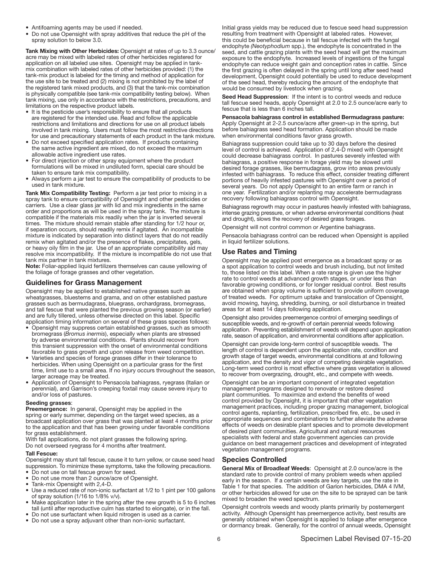- Antifoaming agents may be used if needed.
- Do not use Opensight with spray additives that reduce the pH of the spray solution to below 3.0.

Tank Mixing with Other Herbicides: Opensight at rates of up to 3.3 ounce/ acre may be mixed with labeled rates of other herbicides registered for application on all labeled use sites. Opensight may be applied in tankmix combination with labeled rates of other herbicides provided: (1) the tank-mix product is labeled for the timing and method of application for the use site to be treated and (2) mixing is not prohibited by the label of the registered tank mixed products, and (3) that the tank-mix combination is physically compatible (see tank-mix compatibility testing below). When tank mixing, use only in accordance with the restrictions, precautions, and limitations on the respective product labels.

- It is the pesticide user's responsibility to ensure that all products are registered for the intended use. Read and follow the applicable restrictions and limitations and directions for use on all product labels involved in tank mixing. Users must follow the most restrictive directions for use and precautionary statements of each product in the tank mixture.
- Do not exceed specified application rates. If products containing the same active ingredient are mixed, do not exceed the maximum allowable active ingredient use rates.
- For direct injection or other spray equipment where the product formulations will be mixed in undiluted form, special care should be taken to ensure tank mix compatibility.
- Always perform a jar test to ensure the compatibility of products to be used in tank mixture.

Tank Mix Compatibility Testing: Perform a jar test prior to mixing in a spray tank to ensure compatibility of Opensight and other pesticides or carriers. Use a clear glass jar with lid and mix ingredients in the same order and proportions as will be used in the spray tank. The mixture is compatible if the materials mix readily when the jar is inverted several times. The mixture should remain stable after standing for 1/2 hour or, if separation occurs, should readily remix if agitated. An incompatible mixture is indicated by separation into distinct layers that do not readily remix when agitated and/or the presence of flakes, precipitates, gels, or heavy oily film in the jar. Use of an appropriate compatibility aid may resolve mix incompatibility. If the mixture is incompatible do not use that tank mix partner in tank mixtures.

Note: Foliar-applied liquid fertilizers themselves can cause yellowing of the foliage of forage grasses and other vegetation.

# Guidelines for Grass Management

Opensight may be applied to established native grasses such as wheatgrasses, bluestems and grama, and on other established pasture grasses such as bermudagrass, bluegrass, orchardgrass, bromegrass, and tall fescue that were planted the previous growing season (or earlier) and are fully tillered, unless otherwise directed on this label. Specific application timing information on several of these grass species follows:

- Opensight may suppress certain established grasses, such as smooth bromegrass (*Bromus inermis*), especially when plants are stressed by adverse environmental conditions. Plants should recover from this transient suppression with the onset of environmental conditions favorable to grass growth and upon release from weed competition.
- Varieties and species of forage grasses differ in their tolerance to herbicides. When using Opensight on a particular grass for the first time, limit use to a small area. If no injury occurs throughout the season, larger acreage may be treated.
- Application of Opensight to Pensacola bahiagrass, ryegrass (Italian or perennial), and Garrison's creeping foxtail may cause severe injury to and/or loss of pastures.

#### Seeding grasses:

Preemergence: In general, Opensight may be applied in the spring or early summer, depending on the target weed species, as a broadcast application over grass that was planted at least 4 months prior to the application and that has been growing under favorable conditions for grass establishment.

With fall applications, do not plant grasses the following spring. Do not overseed ryegrass for 4 months after treatment.

# Tall Fescue:

Opensight may stunt tall fescue, cause it to turn yellow, or cause seed head suppression. To minimize these symptoms, take the following precautions.

- Do not use on tall fescue grown for seed. • Do not use more than 2 ounce/acre of Opensight.
- Tank-mix Opensight with 2,4-D.
- Use a reduced rate of non-ionic surfactant at 1/2 to 1 pint per 100 gallons of spray solution (1/16 to 1/8% v/v).
- Make application later in the spring after the new growth is 5 to 6 inches tall (until after reproductive culm has started to elongate), or in the fall.
- Do not use surfactant when liquid nitrogen is used as a carrier.
- Do not use a spray adjuvant other than non-ionic surfactant.

Initial grass yields may be reduced due to fescue seed head suppression resulting from treatment with Opensight at labeled rates. However, this could be beneficial because in tall fescue infected with the fungal endophyte *(Neotyphodium* spp.), the endophyte is concentrated in the seed, and cattle grazing plants with the seed head will get the maximum exposure to the endophyte. Increased levels of ingestions of the fungal endophyte can reduce weight gain and conception rates in cattle. Since the first grazing is often delayed in the spring until long after seed head development, Opensight could potentially be used to reduce development of the seed head, thereby reducing the amount of the endophyte that would be consumed by livestock when grazing.

Seed Head Suppression: If the intent is to control weeds and reduce tall fescue seed heads, apply Opensight at 2.0 to 2.5 ounce/acre early to fescue that is less than 6 inches tall.

Pensacola bahiagrass control in established Bermudagrass pasture: Apply Opensight at 2-2.5 ounce/acre after green-up in the spring, but before bahiagrass seed head formation. Application should be made when environmental conditions favor grass growth.

Bahiagrass suppression could take up to 30 days before the desired level of control is achieved. Application of 2,4-D mixed with Opensight could decrease bahiagrass control. In pastures severely infested with bahiagrass, a positive response in forage yield may be slowed until desired forage grasses, like bermudagrass, grow into areas previously infested with bahiagrass. To reduce this effect, consider treating different portions of heavily infested pastures with Opensight over a period of several years. Do not apply Opensight to an entire farm or ranch in one year. Fertilization and/or replanting may accelerate bermudagrass recovery following bahiagrass control with Opensight.

Bahiagrass regrowth may occur in pastures heavily infested with bahiagrass, intense grazing pressure, or when adverse environmental conditions (heat and drought), slows the recovery of desired grass forages.

Opensight will not control common or Argentine bahiagrass.

Pensacola bahiagrass control can be reduced when Opensight is applied in liquid fertilizer solutions.

# Use Rates and Timing

Opensight may be applied post emergence as a broadcast spray or as a spot application to control weeds and brush including, but not limited to, those listed on this label. When a rate range is given use the higher rate to control weeds at advanced growth stages, or under less than favorable growing conditions, or for longer residual control. Best results are obtained when spray volume is sufficient to provide uniform coverage of treated weeds. For optimum uptake and translocation of Opensight, avoid mowing, haying, shredding, burning, or soil disturbance in treated areas for at least 14 days following application.

Opensight also provides preemergence control of emerging seedlings of susceptible weeds, and re-growth of certain perennial weeds following application. Preventing establishment of weeds will depend upon application rate, season of application, and environmental conditions after application.

Opensight can provide long-term control of susceptible weeds. The length of control is dependent upon the application rate, condition and growth stage of target weeds, environmental conditions at and following application, and the density and vigor of competing desirable vegetation. Long-term weed control is most effective where grass vegetation is allowed to recover from overgrazing, drought, etc., and compete with weeds.

Opensight can be an important component of integrated vegetation management programs designed to renovate or restore desired plant communities. To maximize and extend the benefits of weed control provided by Opensight, it is important that other vegetation management practices, including proper grazing management, biological control agents, replanting, fertilization, prescribed fire, etc., be used in appropriate sequences and combinations to further alleviate the adverse effects of weeds on desirable plant species and to promote development of desired plant communities. Agricultural and natural resources specialists with federal and state government agencies can provide guidance on best management practices and development of integrated vegetation management programs.

# Species Controlled

General Mix of Broadleaf Weeds: Opensight at 2.0 ounce/acre is the standard rate to provide control of many problem weeds when applied early in the season. If a certain weeds are key targets, use the rate in Table 1 for that species. The addition of Garlon herbicides, DMA 4 IVM, or other herbicides allowed for use on the site to be sprayed can be tank mixed to broaden the weed spectrum.

Opensight controls weeds and woody plants primarily by postemergent activity. Although Opensight has preemergence activity, best results are generally obtained when Opensight is applied to foliage after emergence or dormancy break. Generally, for the control of annual weeds, Opensight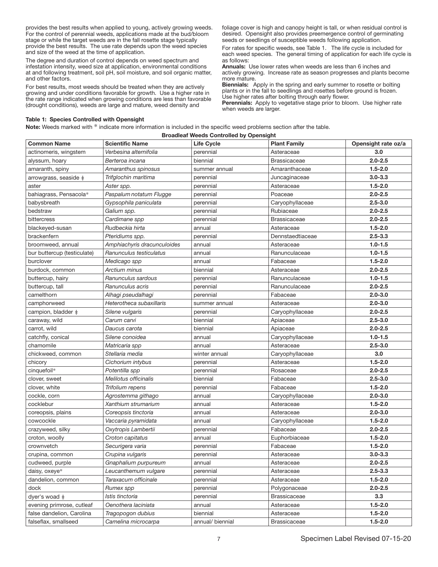provides the best results when applied to young, actively growing weeds. For the control of perennial weeds, applications made at the bud/bloom stage or while the target weeds are in the fall rosette stage typically provide the best results. The use rate depends upon the weed species and size of the weed at the time of application.

The degree and duration of control depends on weed spectrum and infestation intensity, weed size at application, environmental conditions at and following treatment, soil pH, soil moisture, and soil organic matter, and other factors.

For best results, most weeds should be treated when they are actively growing and under conditions favorable for growth. Use a higher rate in the rate range indicated when growing conditions are less than favorable (drought conditions), weeds are large and mature, weed density and

foliage cover is high and canopy height is tall, or when residual control is desired. Opensight also provides preemergence control of germinating seeds or seedlings of susceptible weeds following application.

For rates for specific weeds, see Table 1. The life cycle is included for each weed species. The general timing of application for each life cycle is as follows:

Annuals: Use lower rates when weeds are less than 6 inches and actively growing. Increase rate as season progresses and plants become more mature.

**Biennials:** Apply in the spring and early summer to rosette or bolting plants or in the fall to seedlings and rosettes before ground is frozen. Use higher rates after bolting through early flower.

Perennials: Apply to vegetative stage prior to bloom. Use higher rate when weeds are larger.

#### Table 1: Species Controlled with Opensight

Note: Weeds marked with \* indicate more information is included in the specific weed problems section after the table.

| <b>Broadleaf Weeds Controlled by Opensight</b> |                             |                   |                     |                     |
|------------------------------------------------|-----------------------------|-------------------|---------------------|---------------------|
| <b>Common Name</b>                             | <b>Scientific Name</b>      | <b>Life Cycle</b> | <b>Plant Family</b> | Opensight rate oz/a |
| actinomeris, wingstem                          | Verbesina alternifolia      | perennial         | Asteraceae          | 3.0                 |
| alyssum, hoary                                 | Berteroa incana             | biennial          | <b>Brassicaceae</b> | $2.0 - 2.5$         |
| amaranth, spiny                                | Amaranthus spinosus         | summer annual     | Amaranthaceae       | $1.5 - 2.0$         |
| arrowgrass, seaside ‡                          | Trifglochin maritima        | perennial         | Juncaginaceae       | $3.0 - 3.3$         |
| aster                                          | Aster spp.                  | perennial         | Asteraceae          | $1.5 - 2.0$         |
| bahiagrass, Pensacola*                         | Paspalum notatum Flugge     | perennial         | Poaceae             | $2.0 - 2.5$         |
| babysbreath                                    | Gypsophila paniculata       | perennial         | Caryophyllaceae     | $2.5 - 3.0$         |
| bedstraw                                       | Galium spp.                 | perennial         | Rubiaceae           | $2.0 - 2.5$         |
| bittercress                                    | Cardimane spp               | perennial         | <b>Brassicaceae</b> | $2.0 - 2.5$         |
| blackeyed-susan                                | Rudbeckia hirta             | annual            | Asteraceae          | $1.5 - 2.0$         |
| brackenfern                                    | Pteridiums spp.             | perennial         | Dennstaedtiaceae    | $2.5 - 3.3$         |
| broomweed, annual                              | Amphiachyris dracunculoides | annual            | Asteraceae          | $1.0 - 1.5$         |
| bur buttercup (testiculate)                    | Ranunculus testiculatus     | annual            | Ranunculaceae       | $1.0 - 1.5$         |
| burclover                                      | Medicago spp                | annual            | Fabaceae            | $1.5 - 2.0$         |
| burdock, common                                | Arctium minus               | biennial          | Asteraceae          | $2.0 - 2.5$         |
| buttercup, hairy                               | Ranunculus sardous          | perennial         | Ranunculaceae       | $1.0 - 1.5$         |
| buttercup, tall                                | Ranunculus acris            | perennial         | Ranunculaceae       | $2.0 - 2.5$         |
| camelthorn                                     | Alhagi pseudalhagi          | perennial         | Fabaceae            | $2.0 - 3.0$         |
| camphorweed                                    | Heterotheca subaxillaris    | summer annual     | Asteraceae          | $2.0 - 3.0$         |
| campion, bladder $\pm$                         | Silene vulgaris             | perennial         | Caryophyllaceae     | $2.0 - 2.5$         |
| caraway, wild                                  | Carum carvi                 | biennial          | Apiaceae            | $2.5 - 3.0$         |
| carrot, wild                                   | Daucus carota               | biennial          | Apiaceae            | $2.0 - 2.5$         |
| catchfly, conical                              | Silene conoidea             | annual            | Caryophyllaceae     | $1.0 - 1.5$         |
| chamomile                                      | Matricaria spp              | annual            | Asteraceae          | $2.5 - 3.0$         |
| chickweed, common                              | Stellaria media             | winter annual     | Caryophyllaceae     | 3.0                 |
| chicory                                        | Cichorium intybus           | perennial         | Asteraceae          | $1.5 - 2.0$         |
| cinquefoil*                                    | Potentilla spp              | perennial         | Rosaceae            | $2.0 - 2.5$         |
| clover, sweet                                  | Melilotus officinalis       | biennial          | Fabaceae            | $2.5 - 3.0$         |
| clover, white                                  | Trifolium repens            | perennial         | Fabaceae            | $1.5 - 2.0$         |
| cockle, corn                                   | Agrostemma githago          | annual            | Caryophyllaceae     | $2.0 - 3.0$         |
| cocklebur                                      | Xanthium strumarium         | annual            | Asteraceae          | $1.5 - 2.0$         |
| coreopsis, plains                              | Coreopsis tinctoria         | annual            | Asteraceae          | $2.0 - 3.0$         |
| cowcockle                                      | Vaccaria pyramidata         | annual            | Caryophyllaceae     | $1.5 - 2.0$         |
| crazyweed, silky                               | Oxytropis Lambertii         | perennial         | Fabaceae            | $2.0 - 2.5$         |
| croton, woolly                                 | Croton capitatus            | annual            | Euphorbiaceae       | $1.5 - 2.0$         |
| crownvetch                                     | Securigera varia            | perennial         | Fabaceae            | $1.5 - 2.0$         |
| crupina, common                                | Crupina vulgaris            | perennial         | Asteraceae          | $3.0 - 3.3$         |
| cudweed, purple                                | Gnaphalium purpureum        | annual            | Asteraceae          | $2.0 - 2.5$         |
| daisy, oxeye*                                  | Leucanthemum vulgare        | perennial         | Asteraceae          | $2.5 - 3.3$         |
| dandelion, common                              | Taraxacum officinale        | perennial         | Asteraceae          | $1.5 - 2.0$         |
| dock                                           | Rumex spp                   | perennial         | Polygonaceae        | $2.0 - 2.5$         |
| dyer's woad $\ddagger$                         | Istis tinctoria             | perennial         | <b>Brassicaceae</b> | 3.3                 |
| evening primrose, cutleaf                      | Oenothera laciniata         | annual            | Asteraceae          | $1.5 - 2.0$         |
| false dandelion, Carolina                      | Tragopogon dubius           | biennial          | Asteraceae          | $1.5 - 2.0$         |
| falseflax, smallseed                           | Camelina microcarpa         | annual/ biennial  | <b>Brassicaceae</b> | $1.5 - 2.0$         |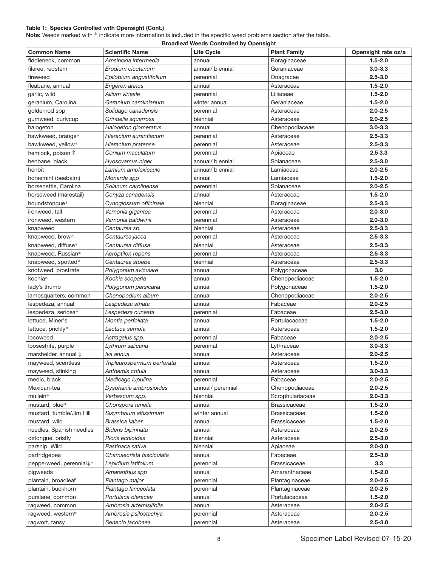# Table 1: Species Controlled with Opensight (Cont.)

Note: Weeds marked with \* indicate more information is included in the specific weed problems section after the table.

| <b>Broadleaf Weeds Controlled by Opensight</b> |                                           |                   |                                |                     |
|------------------------------------------------|-------------------------------------------|-------------------|--------------------------------|---------------------|
| <b>Common Name</b>                             | <b>Scientific Name</b>                    | <b>Life Cycle</b> | <b>Plant Family</b>            | Opensight rate oz/a |
| fiddleneck, common                             | Amsinckia intermedia                      | annual            | Boraginaceae                   | $1.5 - 2.0$         |
| filaree, redstem                               | Erodium cicutarium                        | annual/ biennial  | Geraniaceae                    | $3.0 - 3.3$         |
| fireweed                                       | Epilobium angustifolium                   | perennial         | Onagracee                      | $2.5 - 3.0$         |
| fleabane, annual                               | Erigeron annus                            | annual            | Asteraceae                     | $1.5 - 2.0$         |
| garlic, wild                                   | Allium vineale                            | perennial         | Liliaceae                      | $1.5 - 2.0$         |
| geranium, Carolina                             | Geranium carolinianum                     | winter annual     | Geraniaceae                    | $1.5 - 2.0$         |
| goldenrod spp                                  | Solidago canadensis                       | perennial         | Asteraceae                     | $2.0 - 2.5$         |
| gumweed, curlycup                              | Grindelia squarrosa                       | biennial          | Asteraceae                     | $2.0 - 2.5$         |
| halogeton                                      | Halogeton glomeratus                      | annual            | Chenopodiaceae                 | $3.0 - 3.3$         |
| hawkweed, orange*                              | Hieracium aurantiacum                     | perennial         | Asteraceae                     | $2.5 - 3.3$         |
| hawkweed, yellow*                              | Hieracium pratense                        | perennial         | Asteraceae                     | $2.5 - 3.3$         |
| hemlock, poison ‡                              | Conium maculatum                          | perennial         | Apiaceae                       | $2.5 - 3.3$         |
| henbane, black                                 | Hyoscyamus niger                          | annual/biennial   | Solanaceae                     | $2.5 - 3.0$         |
| henbit                                         | Lamium amplexicaule                       | annual/biennial   | Lamiaceae                      | $2.0 - 2.5$         |
| horsemint (beebalm)                            | Monarda spp                               | annual            | Lamiaceae                      | $1.5 - 2.0$         |
| horsenettle, Carolina                          | Solanum carolinense                       | perennial         | Solanaceae                     | $2.0 - 2.5$         |
| horseweed (marestail)                          | Conyza canadensis                         | annual            | Asteraceae                     | $1.5 - 2.0$         |
| houndstongue*                                  | Cynoglossum officinale                    | biennial          | Boraginaceae                   | $2.5 - 3.3$         |
| ironweed, tall                                 | Vernonia gigantea                         | perennial         | Asteraceae                     | $2.0 - 3.0$         |
| ironweed, western                              | Vernonia baldwinii                        | perennial         | Asteraceae                     | $2.0 - 3.0$         |
| knapweed                                       | Centaurea sp.                             | biennial          | Asteraceae                     | $2.5 - 3.3$         |
| knapweed, brown                                | Centaurea jacea                           | perennial         | Asteraceae                     | $2.5 - 3.3$         |
| knapweed, diffuse*                             | Centaurea diffusa                         | biennial          | Asteraceae                     | $2.5 - 3.3$         |
| knapweed, Russian*                             | Acroptilon repens                         | perennial         | Asteraceae                     | $2.5 - 3.3$         |
| knapweed, spotted*                             | Centaurea stoebe                          | biennial          | Asteraceae                     | $2.5 - 3.3$         |
| knotweed, prostrate                            |                                           | annual            |                                | 3.0                 |
| kochia*                                        | Polygonum aviculare<br>Kochia scoparia    | annual            | Polygonaceae<br>Chenopodiaceae | $1.5 - 2.0$         |
| lady's thumb                                   |                                           |                   | Polygonaceae                   | $1.5 - 2.0$         |
|                                                | Polygonum persicaria<br>Chenopodium album | annual            | Chenopodiaceae                 | $2.0 - 2.5$         |
| lambsquarters, common                          |                                           | annual            |                                | $2.0 - 2.5$         |
| lespedeza, annual                              | Lespedeza striata                         | annual            | Fabaceae                       | $2.5 - 3.0$         |
| lespedeza, sericea*                            | Lespedeza cuneata                         | perennial         | Fabaceae<br>Portulacaceae      | $1.5 - 2.0$         |
| lettuce, Miner's                               | Montia perfoliata                         | annual            |                                | $1.5 - 2.0$         |
| lettuce, prickly*                              | Lactuca serriola                          | annual            | Asteraceae                     |                     |
| locoweed                                       | Astragalus spp.                           | perennial         | Fabaceae                       | $2.0 - 2.5$         |
| loosestrife, purple                            | Lythrum salicaria                         | perennial         | Lythraceae                     | $3.0 - 3.3$         |
| marshelder, annual ‡                           | lva annua                                 | annual            | Asteraceae                     | $2.0 - 2.5$         |
| mayweed, scentless                             | Tripleurospermum perforata                | annual            | Asteraceae                     | $1.5 - 2.0$         |
| mayweed, stinking                              | Anthemis cotula                           | annual            | Asteraceae                     | $3.0 - 3.3$         |
| medic, black                                   | Medicago lupulina                         | perennial         | Fabaceae                       | $2.0 - 2.5$         |
| Mexican-tea                                    | Dysphania ambrosioides                    | annual/ perennial | Chenopodiaceae                 | $2.0 - 2.5$         |
| mullein*                                       | Verbascum spp.                            | biennial          | Scrophulariaceae               | $2.0 - 3.3$         |
| mustard, blue*                                 | Chorispora tenella                        | annual            | <b>Brassicaceae</b>            | $1.5 - 2.0$         |
| mustard, tumble/Jim Hill                       | Sisymbrium altissimum                     | winter annual     | <b>Brassicaceae</b>            | $1.5 - 2.0$         |
| mustard, wild                                  | Brassica kaber                            | annual            | <b>Brassicaceae</b>            | $1.5 - 2.0$         |
| needles, Spanish needles                       | Bidens bipinnata                          | annual            | Asteraceae                     | $2.0 - 2.5$         |
| oxtongue, bristly                              | Picris echioides                          | biennial          | Asteraceae                     | $2.5 - 3.0$         |
| parsnip, Wild                                  | Pastinaca sativa                          | biennial          | Apiaceae                       | $2.0 - 3.0$         |
| partridgepea                                   | Chamaecrista fasciculata                  | annual            | Fabaceae                       | $2.5 - 3.0$         |
| pepperweed, perennial $\ddagger$ *             | Lepidium latifolium                       | perennial         | <b>Brassicaceae</b>            | 3.3                 |
| pigweeds                                       | Amaranthus spp                            | annual            | Amaranthaceae                  | $1.5 - 2.0$         |
| plantain, broadleaf                            | Plantago major                            | perennial         | Plantaginaceae                 | $2.0 - 2.5$         |
| plantain, buckhorn                             | Plantago lanceolata                       | perennial         | Plantaginaceae                 | $2.0 - 2.5$         |
| purslane, common                               | Portulaca oleracea                        | annual            | Portulacaceae                  | $1.5 - 2.0$         |
| ragweed, common                                | Ambrosia artemisiifolia                   | annual            | Asteraceae                     | $2.0 - 2.5$         |
| ragweed, western*                              | Ambrosia psilostachya                     | perennial         | Asteraceae                     | $2.0 - 2.5$         |
| ragwort, tansy                                 | Senecio jacobaea                          | perennial         | Asteraceae                     | $2.5 - 3.0$         |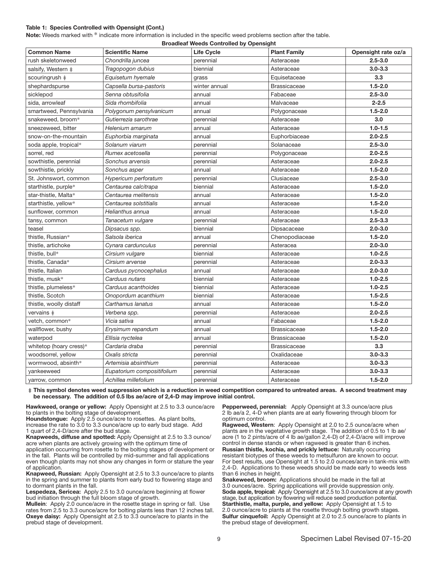#### Table 1: Species Controlled with Opensight (Cont.)

Note: Weeds marked with \* indicate more information is included in the specific weed problems section after the table.

| <b>Broadleaf Weeds Controlled by Opensight</b> |                            |                   |                     |                     |
|------------------------------------------------|----------------------------|-------------------|---------------------|---------------------|
| <b>Common Name</b>                             | <b>Scientific Name</b>     | <b>Life Cycle</b> | <b>Plant Family</b> | Opensight rate oz/a |
| rush skeletonweed                              | Chondrilla juncea          | perennial         | Asteraceae          | $2.5 - 3.0$         |
| salsify, Western ‡                             | Tragopogon dubius          | biennial          | Asteraceae          | $3.0 - 3.3$         |
| scouringrush ‡                                 | Equisetum hyemale          | grass             | Equisetaceae        | 3.3                 |
| shephardspurse                                 | Capsella bursa-pastoris    | winter annual     | <b>Brassicaceae</b> | $1.5 - 2.0$         |
| sicklepod                                      | Senna obtusifolia          | annual            | Fabaceae            | $2.5 - 3.0$         |
| sida, arrowleaf                                | Sida rhombifolia           | annual            | Malvaceae           | $2 - 2.5$           |
| smartweed, Pennsylvania                        | Polygonum pensylvanicum    | annual            | Polygonaceae        | $1.5 - 2.0$         |
| snakeweed, broom*                              | Gutierrezia sarothrae      | perennial         | Asteraceae          | 3.0                 |
| sneezeweed, bitter                             | Helenium amarum            | annual            | Asteraceae          | $1.0 - 1.5$         |
| snow-on-the-mountain                           | Euphorbia marginata        | annual            | Euphorbiaceae       | $2.0 - 2.5$         |
| soda apple, tropical*                          | Solanum viarum             | perennial         | Solanaceae          | $2.5 - 3.0$         |
| sorrel, red                                    | Rumex acetosella           | perennial         | Polygonaceae        | $2.0 - 2.5$         |
| sowthistle, perennial                          | Sonchus arvensis           | perennial         | Asteraceae          | $2.0 - 2.5$         |
| sowthistle, prickly                            | Sonchus asper              | annual            | Asteraceae          | $1.5 - 2.0$         |
| St. Johnswort, common                          | Hypericum perforatum       | perennial         | Clusiaceae          | $2.5 - 3.0$         |
| starthistle, purple*                           | Centaurea calcitrapa       | biennial          | Asteraceae          | $1.5 - 2.0$         |
| star-thistle, Malta*                           | Centaurea melitensis       | annual            | Asteraceae          | $1.5 - 2.0$         |
| starthistle, yellow*                           | Centaurea solstitialis     | annual            | Asteraceae          | $1.5 - 2.0$         |
| sunflower, common                              | Helianthus annua           | annual            | Asteraceae          | $1.5 - 2.0$         |
| tansy, common                                  | Tanacetum vulgare          | perennial         | Asteraceae          | $2.5 - 3.3$         |
| teasel                                         | Dipsacus spp.              | biennial          | Dipsacaceae         | $2.0 - 3.0$         |
| thistle, Russian*                              | Salsola iberica            | annual            | Chenopodiaceae      | $1.5 - 2.0$         |
| thistle, artichoke                             | Cynara cardunculus         | perennial         | Asteracea           | $2.0 - 3.0$         |
| thistle, bull*                                 | Cirsium vulgare            | biennial          | Asteraceae          | $1.0 - 2.5$         |
| thistle, Canada*                               | Cirsium arvense            | perennial         | Asteraceae          | $2.0 - 3.3$         |
| thistle, Italian                               | Carduus pycnocephalus      | annual            | Asteraceae          | $2.0 - 3.0$         |
| thistle, musk*                                 | Carduus nutans             | biennial          | Asteraceae          | $1.0 - 2.5$         |
| thistle, plumeless*                            | Carduus acanthoides        | biennial          | Asteraceae          | $1.0 - 2.5$         |
| thistle, Scotch                                | Onopordum acanthium        | biennial          | Asteraceae          | $1.5 - 2.5$         |
| thistle, woolly distaff                        | Carthamus lanatus          | annual            | Asteraceae          | $1.5 - 2.0$         |
| vervains $\pm$                                 | Verbena spp.               | perennial         | Asteraceae          | $2.0 - 2.5$         |
| vetch, common*                                 | Vicia sativa               | annual            | Fabaceae            | $1.5 - 2.0$         |
| wallflower, bushy                              | Erysimum repandum          | annual            | <b>Brassicaceae</b> | $1.5 - 2.0$         |
| waterpod                                       | Ellisia nyctelea           | annual            | <b>Brassicaceae</b> | $1.5 - 2.0$         |
| whitetop (hoary cress)*                        | Cardaria draba             | perennial         | <b>Brassicaceae</b> | 3.3                 |
| woodsorrel, yellow                             | Oxalis stricta             | perennial         | Oxalidaceae         | $3.0 - 3.3$         |
| wormwood, absinth*                             | Artemisia absinthium       | perennial         | Asteraceae          | $3.0 - 3.3$         |
| vankeeweed                                     | Eupatorium compositifolium | perennial         | Asteraceae          | $3.0 - 3.3$         |
| yarrow, common                                 | Achillea millefolium       | perennial         | Asteraceae          | $1.5 - 2.0$         |

**‡** This symbol denotes weed suppression which is a reduction in weed competition compared to untreated areas. A second treatment may be necessary. The addition of 0.5 lbs ae/acre of 2,4-D may improve initial control.

Hawkweed, orange or yellow: Apply Opensight at 2.5 to 3.3 ounce/acre to plants in the bolting stage of development.

Houndstongue: Apply 2.5 ounce/acre to rosettes. As plant bolts, increase the rate to 3.0 to 3.3 ounce/acre up to early bud stage. Add 1 quart of 2,4-D/acre after the bud stage.

Knapweeds, diffuse and spotted: Apply Opensight at 2.5 to 3.3 ounce/ acre when plants are actively growing with the optimum time of

application occurring from rosette to the bolting stages of development or in the fall. Plants will be controlled by mid-summer and fall applications even though plants may not show any changes in form or stature the year of application.

Knapweed, Russian: Apply Opensight at 2.5 to 3.3 ounce/acre to plants in the spring and summer to plants from early bud to flowering stage and to dormant plants in the fall.

Lespedeza, Sericea: Apply 2.5 to 3.0 ounce/acre beginning at flower bud initiation through the full bloom stage of growth.

Mullein: Apply 2.0 ounce/acre in the rosette stage in spring or fall. Use rates from 2.5 to 3.3 ounce/acre for bolting plants less than 12 inches tall. Oxeye daisy: Apply Opensight at 2.5 to 3.3 ounce/acre to plants in the prebud stage of development.

Pepperweed, perennial: Apply Opensight at 3.3 ounce/acre plus 2 lb ae/a 2, 4-D when plants are at early flowering through bloom for optimum control.

Ragweed, Western: Apply Opensight at 2.0 to 2.5 ounce/acre when plants are in the vegetative growth stage. The addition of 0.5 to 1 lb ae/ acre (1 to 2 pints/acre of 4 lb ae/gallon 2,4-D) of 2,4-D/acre will improve control in dense stands or when ragweed is greater than 6 inches. Russian thistle, kochia, and prickly lettuce: Naturally occurring resistant biotypes of these weeds to metsulfuron are known to occur. For best results, use Opensight at 1.5 to 2.0 ounces/acre in tank-mix with 2,4-D. Applications to these weeds should be made early to weeds less than 6 inches in height.

Snakeweed, broom: Applications should be made in the fall at 3.0 ounces/acre. Spring applications will provide suppression only. Soda apple, tropical: Apply Opensight at 2.5 to 3.0 ounce/acre at any growth stage, but application by flowering will reduce seed production potential. Starthistle, malta, purple, and yellow: Apply Opensight at 1.5 to 2.0 ounce/acre to plants at the rosette through bolting growth stages. Sulfur cinquefoil: Apply Opensight at 2.0 to 2.5 ounce/acre to plants in the prebud stage of development.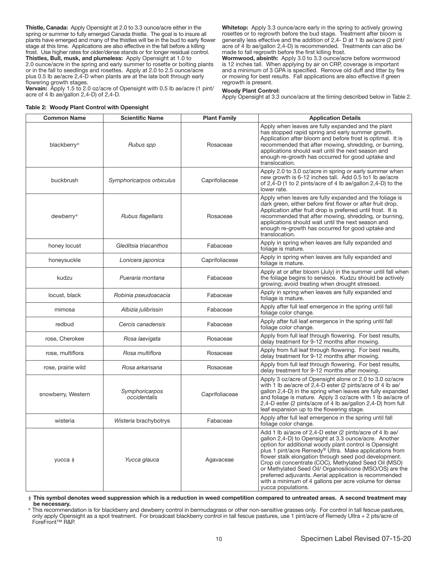Thistle, Canada: Apply Opensight at 2.0 to 3.3 ounce/acre either in the spring or summer to fully emerged Canada thistle. The goal is to insure all plants have emerged and many of the thistles will be in the bud to early flower stage at this time. Applications are also effective in the fall before a killing frost. Use higher rates for older/dense stands or for longer residual control. Thistles, Bull, musk, and plumeless: Apply Opensight at 1.0 to 2.0 ounce/acre in the spring and early summer to rosette or bolting plants or in the fall to seedlings and rosettes. Apply at 2.0 to 2.5 ounce/acre plus 0.5 lb ae/acre 2,4-D when plants are at the late bolt through early flowering growth stages.

Vervain: Apply 1.5 to 2.0 oz/acre of Opensight with 0.5 lb ae/acre (1 pint/ acre of 4 lb ae/gallon 2,4-D) of 2,4-D.

Whitetop: Apply 3.3 ounce/acre early in the spring to actively growing rosettes or to regrowth before the bud stage. Treatment after bloom is generally less effective and the addition of 2,4- D at 1 lb ae/acre (2 pint/ acre of 4 lb ae/gallon 2,4-D) is recommended. Treatments can also be made to fall regrowth before the first killing frost.

Wormwood, absinth: Apply 3.0 to 3.3 ounce/acre before wormwood is 12 inches tall. When applying by air on CRP, coverage is important and a minimum of 3 GPA is specified. Remove old duff and litter by fire or mowing for best results. Fall applications are also effective if green regrowth is present.

#### Woody Plant Control:

Apply Opensight at 3.3 ounce/acre at the timing described below in Table 2.

| <b>Common Name</b> | <b>Scientific Name</b>         | <b>Plant Family</b> | <b>Application Details</b>                                                                                                                                                                                                                                                                                                                                                                                                                                                                                                                                   |
|--------------------|--------------------------------|---------------------|--------------------------------------------------------------------------------------------------------------------------------------------------------------------------------------------------------------------------------------------------------------------------------------------------------------------------------------------------------------------------------------------------------------------------------------------------------------------------------------------------------------------------------------------------------------|
| blackberry*        | Rubus spp                      | Rosaceae            | Apply when leaves are fully expanded and the plant<br>has stopped rapid spring and early summer growth.<br>Application after bloom and before frost is optimal. It is<br>recommended that after mowing, shredding, or burning,<br>applications should wait until the next season and<br>enough re-growth has occurred for good uptake and<br>translocation.                                                                                                                                                                                                  |
| buckbrush          | Symphoricarpos orbiculus       | Caprifoliaceae      | Apply 2.0 to 3.0 oz/acre in spring or early summer when<br>new growth is 6-12 inches tall. Add 0.5 to1 lb ae/acre<br>of 2,4-D (1 to 2 pints/acre of 4 lb ae/gallon 2,4-D) to the<br>lower rate.                                                                                                                                                                                                                                                                                                                                                              |
| dewberry*          | Rubus flagellaris              | Rosaceae            | Apply when leaves are fully expanded and the foliage is<br>dark green, either before first flower or after fruit drop.<br>Application after fruit drop is preferred until frost. It is<br>recommended that after mowing, shredding, or burning,<br>applications should wait until the next season and<br>enough re-growth has occurred for good uptake and<br>translocation.                                                                                                                                                                                 |
| honey locust       | Gleditsia triacanthos          | Fabaceae            | Apply in spring when leaves are fully expanded and<br>foliage is mature.                                                                                                                                                                                                                                                                                                                                                                                                                                                                                     |
| honeysuckle        | Lonicera japonica              | Caprifoliaceae      | Apply in spring when leaves are fully expanded and<br>foliage is mature.                                                                                                                                                                                                                                                                                                                                                                                                                                                                                     |
| kudzu              | Pueraria montana               | Fabaceae            | Apply at or after bloom (July) in the summer until fall when<br>the foliage begins to senesce. Kudzu should be actively<br>growing; avoid treating when drought stressed.                                                                                                                                                                                                                                                                                                                                                                                    |
| locust, black      | Robinia pseudoacacia           | Fabaceae            | Apply in spring when leaves are fully expanded and<br>foliage is mature.                                                                                                                                                                                                                                                                                                                                                                                                                                                                                     |
| mimosa             | Albizia julibrissin            | Fabaceae            | Apply after full leaf emergence in the spring until fall<br>foliage color change.                                                                                                                                                                                                                                                                                                                                                                                                                                                                            |
| redbud             | Cercis canadensis              | Fabaceae            | Apply after full leaf emergence in the spring until fall<br>foliage color change.                                                                                                                                                                                                                                                                                                                                                                                                                                                                            |
| rose, Cherokee     | Rosa laevigata                 | Rosaceae            | Apply from full leaf through flowering. For best results,<br>delay treatment for 9-12 months after mowing.                                                                                                                                                                                                                                                                                                                                                                                                                                                   |
| rose, multiflora   | Rosa multiflora                | Rosaceae            | Apply from full leaf through flowering. For best results,<br>delay treatment for 9-12 months after mowing.                                                                                                                                                                                                                                                                                                                                                                                                                                                   |
| rose, prairie wild | Rosa arkansana                 | Rosaceae            | Apply from full leaf through flowering. For best results,<br>delay treatment for 9-12 months after mowing.                                                                                                                                                                                                                                                                                                                                                                                                                                                   |
| snowberry, Western | Symphoricarpos<br>occidentalis | Caprifoliaceae      | Apply 3 oz/acre of Opensight alone or 2.0 to 3.0 oz/acre<br>with 1 lb ae/acre of 2,4-D ester (2 pints/acre of 4 lb ae/<br>gallon 2,4-D) in the spring when leaves are fully expanded<br>and foliage is mature. Apply 3 oz/acre with 1 lb ae/acre of<br>2,4-D ester (2 pints/acre of 4 lb ae/gallon 2,4-D) from full<br>leaf expansion up to the flowering stage.                                                                                                                                                                                             |
| wisteria           | Wisteria brachybotrys          | Fabaceae            | Apply after full leaf emergence in the spring until fall<br>foliage color change.                                                                                                                                                                                                                                                                                                                                                                                                                                                                            |
| yucca $\ddagger$   | Yucca glauca                   | Agavaceae           | Add 1 lb ai/acre of 2,4-D ester (2 pints/acre of 4 lb ae/<br>gallon 2,4-D) to Opensight at 3.3 ounce/acre. Another<br>option for additional woody plant control is Opensight<br>plus 1 pint/acre Remedy® Ultra. Make applications from<br>flower stalk elongation through seed pod development.<br>Crop oil concentrate (COC), Methylated Seed Oil (MSO)<br>or Methylated Seed Oil/ Organosilicone (MSO/OS) are the<br>preferred adjuvants. Aerial application is recommended<br>with a minimum of 4 gallons per acre volume for dense<br>yucca populations. |

Table 2: Woody Plant Control with Opensight

‡ This symbol denotes weed suppression which is a reduction in weed competition compared to untreated areas. A second treatment may be necessary.

\* This recommendation is for blackberry and dewberry control in bermudagrass or other non-sensitive grasses only. For control in tall fescue pastures, only apply Opensight as a spot treatment. For broadcast blackberry control in tall fescue pastures, use 1 pint/acre of Remedy Ultra + 2 pts/acre of ForeFront™ R&P.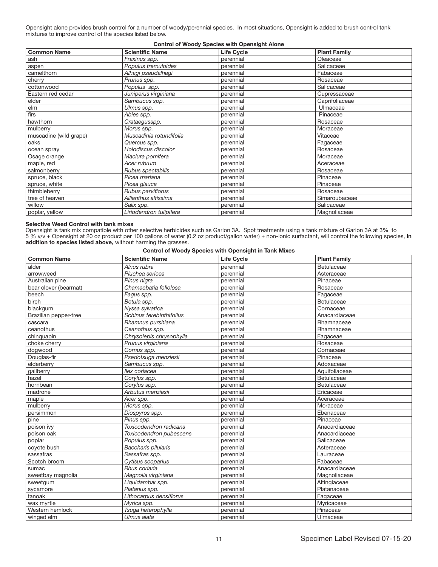Opensight alone provides brush control for a number of woody/perennial species. In most situations, Opensight is added to brush control tank mixtures to improve control of the species listed below.

# Control of Woody Species with Opensight Alone

| <b>Common Name</b>     | <b>Scientific Name</b>  | <b>Life Cycle</b> | <b>Plant Family</b> |
|------------------------|-------------------------|-------------------|---------------------|
| ash                    | Fraxinus spp.           | perennial         | Oleaceae            |
| aspen                  | Populus tremuloides     | perennial         | Salicaceae          |
| camelthorn             | Alhagi pseudalhagi      | perennial         | Fabaceae            |
| cherry                 | Prunus spp.             | perennial         | Rosaceae            |
| cottonwood             | Populus spp.            | perennial         | Salicaceae          |
| Eastern red cedar      | Juniperus virginiana    | perennial         | Cupressaceae        |
| elder                  | Sambucus spp.           | perennial         | Caprifoliaceae      |
| elm                    | Ulmus spp.              | perennial         | Ulmaceae            |
| firs                   | Abies spp.              | perennial         | Pinaceae            |
| hawthorn               | Crataegusspp.           | perennial         | Rosaceae            |
| mulberry               | Morus spp.              | perennial         | Moraceae            |
| muscadine (wild grape) | Muscadinia rotundifolia | perennial         | Vitaceae            |
| oaks                   | Quercus spp.            | perennial         | Fagaceae            |
| ocean spray            | Holodiscus discolor     | perennial         | Rosaceae            |
| Osage orange           | Maclura pomifera        | perennial         | Moraceae            |
| maple, red             | Acer rubrum             | perennial         | Aceraceae           |
| salmonberry            | Rubus spectabilis       | perennial         | Rosaceae            |
| spruce, black          | Picea mariana           | perennial         | Pinaceae            |
| spruce, white          | Picea glauca            | perennial         | Pinaceae            |
| thimbleberry           | Rubus parviflorus       | perennial         | Rosaceae            |
| tree of heaven         | Ailianthus altissima    | perennial         | Simaroubaceae       |
| willow                 | Salix spp.              | perennial         | Salicaceae          |
| poplar, yellow         | Liriodendron tulipifera | perennial         | Magnoliaceae        |

#### Selective Weed Control with tank mixes

Opensight is tank mix compatible with other selective herbicides such as Garlon 3A. Spot treatments using a tank mixture of Garlon 3A at 3% to 5 % v/v + Opensight at 20 oz product per 100 gallons of water (0.2 oz product/gallon water) + non-ionic surfactant, will control the following species, in addition to species listed above, without harming the grasses.

Control of Woody Species with Opensight in Tank Mixes

| <b>Common Name</b>    | <b>Scientific Name</b>   | <b>Life Cycle</b> | <b>Plant Family</b> |
|-----------------------|--------------------------|-------------------|---------------------|
| alder                 | Alnus rubra              | perennial         | Betulaceae          |
| arrowweed             | Pluchea sericea          | perennial         | Asteraceae          |
| Australian pine       | Pinus nigra              | perennial         | Pinaceae            |
| bear clover (bearmat) | Chamaebatia foliolosa    | perennial         | Rosaceae            |
| beech                 | Fagus spp.               | perennial         | Fagaceae            |
| birch                 | Betula spp.              | perennial         | <b>Betulaceae</b>   |
| blackgum              | Nyssa sylvatica          | perennial         | Cornaceae           |
| Brazilian pepper-tree | Schinus terebinthifolius | perennial         | Anacardiaceae       |
| cascara               | Rhamnus purshiana        | perennial         | Rhamnaceae          |
| ceanothus             | Ceanothus spp.           | perennial         | Rhamnaceae          |
| chinguapin            | Chrysolepis chrysophylla | perennial         | Fagaceae            |
| choke cherry          | Prunus virginiana        | perennial         | Rosaceae            |
| dogwood               | Cornus spp.              | perennial         | Cornaceae           |
| Douglas-fir           | Psedotsuga menziesii     | perennial         | Pinaceae            |
| elderberry            | Sambucus spp.            | perennial         | Adoxaceae           |
| gallberry             | Ilex coriacea            | perennial         | Aquifoliaceae       |
| hazel                 | Corylus spp.             | perennial         | Betulaceae          |
| hornbean              | Corylus spp.             | perennial         | Betulaceae          |
| madrone               | Arbutus menziesii        | perennial         | Ericaceae           |
| maple                 | Acer spp.                | perennial         | Aceraceae           |
| mulberry              | Morus spp.               | perennial         | Moraceae            |
| persimmon             | Diospyros spp.           | perennial         | Ebenaceae           |
| pine                  | Pinus spp.               | perennial         | Pinaceae            |
| poison ivy            | Toxicodendron radicans   | perennial         | Anacardiaceae       |
| poison oak            | Toxicodendron pubescens  | perennial         | Anacardiaceae       |
| poplar                | Populus spp.             | perennial         | Salicaceae          |
| coyote bush           | Baccharis pilularis      | perennial         | Asteraceae          |
| sassafras             | Sassafras spp.           | perennial         | Lauraceae           |
| Scotch broom          | Cytisus scoparius        | perennial         | Fabaceae            |
| sumac                 | Rhus coriaria            | perennial         | Anacardiaceae       |
| sweetbay magnolia     | Magnolia virginiana      | perennial         | Magnoliaceae        |
| sweetgum              | Liquidambar spp.         | perennial         | Altingiaceae        |
| sycamore              | Platanus spp.            | perennial         | Platanaceae         |
| tanoak                | Lithocarpus densiflorus  | perennial         | Fagaceae            |
| wax myrtle            | Myrica spp.              | perennial         | Myricaceae          |
| Western hemlock       | Tsuga heterophylla       | perennial         | Pinaceae            |
| winged elm            | Ulmus alata              | perennial         | Ulmaceae            |
|                       |                          |                   |                     |